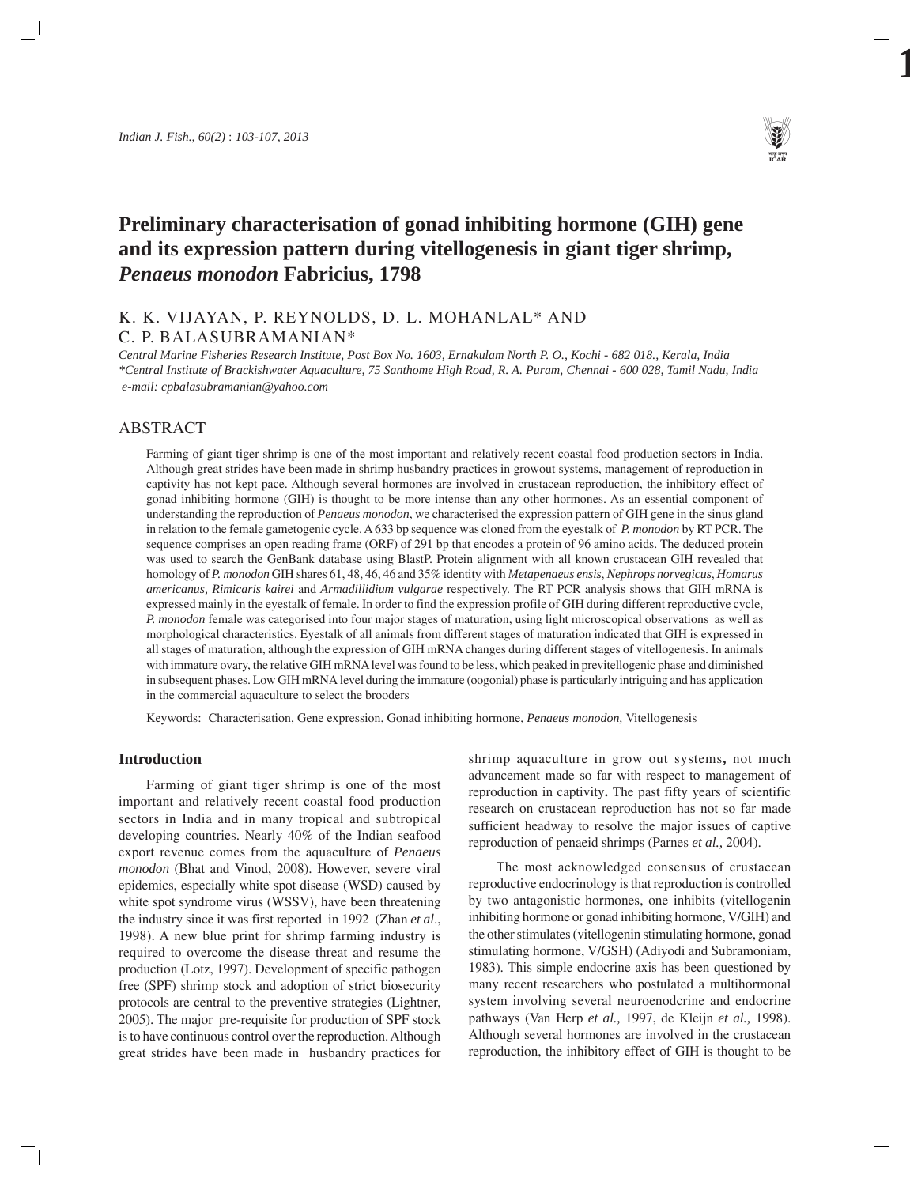

# **Preliminary characterisation of gonad inhibiting hormone (GIH) gene and its expression pattern during vitellogenesis in giant tiger shrimp,** *Penaeus monodon* **Fabricius, 1798**

# K. K. VIJAYAN, P. REYNOLDS, D. L. MOHANLAL\* AND C. P. BALASUBRAMANIAN\*

*Central Marine Fisheries Research Institute, Post Box No. 1603, Ernakulam North P. O., Kochi - 682 018., Kerala, India \*Central Institute of Brackishwater Aquaculture, 75 Santhome High Road, R. A. Puram, Chennai - 600 028, Tamil Nadu, India e-mail: cpbalasubramanian@yahoo.com*

# ABSTRACT

Farming of giant tiger shrimp is one of the most important and relatively recent coastal food production sectors in India. Although great strides have been made in shrimp husbandry practices in growout systems, management of reproduction in captivity has not kept pace. Although several hormones are involved in crustacean reproduction, the inhibitory effect of gonad inhibiting hormone (GIH) is thought to be more intense than any other hormones. As an essential component of understanding the reproduction of *Penaeus monodon*, we characterised the expression pattern of GIH gene in the sinus gland in relation to the female gametogenic cycle. A 633 bp sequence was cloned from the eyestalk of *P. monodon* by RT PCR. The sequence comprises an open reading frame (ORF) of 291 bp that encodes a protein of 96 amino acids. The deduced protein was used to search the GenBank database using BlastP. Protein alignment with all known crustacean GIH revealed that homology of *P. monodon* GIH shares 61, 48, 46, 46 and 35% identity with *Metapenaeus ensis*, *Nephrops norvegicus*, *Homarus americanus, Rimicaris kairei* and *Armadillidium vulgarae* respectively. The RT PCR analysis shows that GIH mRNA is expressed mainly in the eyestalk of female. In order to find the expression profile of GIH during different reproductive cycle, *P. monodon* female was categorised into four major stages of maturation, using light microscopical observations as well as morphological characteristics. Eyestalk of all animals from different stages of maturation indicated that GIH is expressed in all stages of maturation, although the expression of GIH mRNA changes during different stages of vitellogenesis. In animals with immature ovary, the relative GIH mRNA level was found to be less, which peaked in previtellogenic phase and diminished in subsequent phases. Low GIH mRNA level during the immature (oogonial) phase is particularly intriguing and has application in the commercial aquaculture to select the brooders

Keywords: Characterisation, Gene expression, Gonad inhibiting hormone, *Penaeus monodon,* Vitellogenesis

#### **Introduction**

Farming of giant tiger shrimp is one of the most important and relatively recent coastal food production sectors in India and in many tropical and subtropical developing countries. Nearly 40% of the Indian seafood export revenue comes from the aquaculture of *Penaeus monodon* (Bhat and Vinod, 2008). However, severe viral epidemics, especially white spot disease (WSD) caused by white spot syndrome virus (WSSV), have been threatening the industry since it was first reported in 1992 (Zhan *et al*., 1998). A new blue print for shrimp farming industry is required to overcome the disease threat and resume the production (Lotz, 1997). Development of specific pathogen free (SPF) shrimp stock and adoption of strict biosecurity protocols are central to the preventive strategies (Lightner, 2005). The major pre-requisite for production of SPF stock is to have continuous control over the reproduction. Although great strides have been made in husbandry practices for shrimp aquaculture in grow out systems**,** not much advancement made so far with respect to management of reproduction in captivity**.** The past fifty years of scientific research on crustacean reproduction has not so far made sufficient headway to resolve the major issues of captive reproduction of penaeid shrimps (Parnes *et al.,* 2004).

The most acknowledged consensus of crustacean reproductive endocrinology is that reproduction is controlled by two antagonistic hormones, one inhibits (vitellogenin inhibiting hormone or gonad inhibiting hormone, V/GIH) and the other stimulates (vitellogenin stimulating hormone, gonad stimulating hormone, V/GSH) (Adiyodi and Subramoniam, 1983). This simple endocrine axis has been questioned by many recent researchers who postulated a multihormonal system involving several neuroenodcrine and endocrine pathways (Van Herp *et al.,* 1997, de Kleijn *et al.,* 1998). Although several hormones are involved in the crustacean reproduction, the inhibitory effect of GIH is thought to be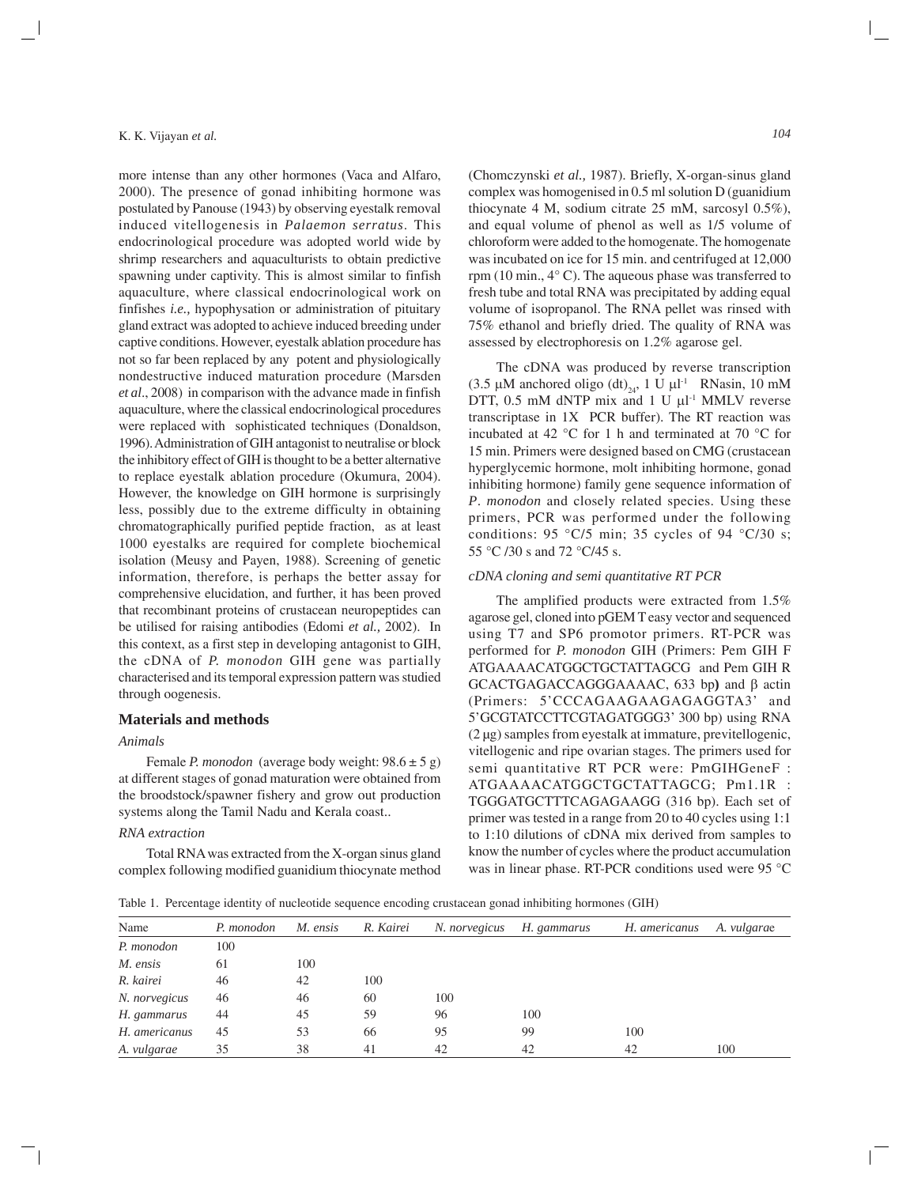more intense than any other hormones (Vaca and Alfaro, 2000). The presence of gonad inhibiting hormone was postulated by Panouse (1943) by observing eyestalk removal induced vitellogenesis in *Palaemon serratus*. This endocrinological procedure was adopted world wide by shrimp researchers and aquaculturists to obtain predictive spawning under captivity. This is almost similar to finfish aquaculture, where classical endocrinological work on finfishes *i.e.,* hypophysation or administration of pituitary gland extract was adopted to achieve induced breeding under captive conditions. However, eyestalk ablation procedure has not so far been replaced by any potent and physiologically nondestructive induced maturation procedure (Marsden *et al*., 2008) in comparison with the advance made in finfish aquaculture, where the classical endocrinological procedures were replaced with sophisticated techniques (Donaldson, 1996). Administration of GIH antagonist to neutralise or block the inhibitory effect of GIH is thought to be a better alternative to replace eyestalk ablation procedure (Okumura, 2004). However, the knowledge on GIH hormone is surprisingly less, possibly due to the extreme difficulty in obtaining chromatographically purified peptide fraction, as at least 1000 eyestalks are required for complete biochemical isolation (Meusy and Payen, 1988). Screening of genetic information, therefore, is perhaps the better assay for comprehensive elucidation, and further, it has been proved that recombinant proteins of crustacean neuropeptides can be utilised for raising antibodies (Edomi *et al.,* 2002). In this context, as a first step in developing antagonist to GIH, the cDNA of *P. monodon* GIH gene was partially characterised and its temporal expression pattern was studied through oogenesis.

#### **Materials and methods**

#### *Animals*

Female *P. monodon* (average body weight: 98.6 ± 5 g) at different stages of gonad maturation were obtained from the broodstock/spawner fishery and grow out production systems along the Tamil Nadu and Kerala coast..

# *RNA extraction*

Total RNA was extracted from the X-organ sinus gland complex following modified guanidium thiocynate method

(Chomczynski *et al.,* 1987). Briefly, X-organ-sinus gland complex was homogenised in 0.5 ml solution D (guanidium thiocynate 4 M, sodium citrate 25 mM, sarcosyl 0.5%), and equal volume of phenol as well as 1/5 volume of chloroform were added to the homogenate. The homogenate was incubated on ice for 15 min. and centrifuged at 12,000 rpm (10 min., 4° C). The aqueous phase was transferred to fresh tube and total RNA was precipitated by adding equal volume of isopropanol. The RNA pellet was rinsed with 75% ethanol and briefly dried. The quality of RNA was assessed by electrophoresis on 1.2% agarose gel.

The cDNA was produced by reverse transcription  $(3.5 \mu M \text{ anchored oligo (dt)}_{24}$ , 1 U  $\mu$ <sup>1</sup> RNasin, 10 mM DTT,  $0.5$  mM dNTP mix and  $1 \text{ U } \mu$ <sup>1</sup> MMLV reverse transcriptase in 1X PCR buffer). The RT reaction was incubated at 42 °C for 1 h and terminated at 70 °C for 15 min. Primers were designed based on CMG (crustacean hyperglycemic hormone, molt inhibiting hormone, gonad inhibiting hormone) family gene sequence information of *P*. *monodon* and closely related species. Using these primers, PCR was performed under the following conditions: 95  $\degree$ C/5 min; 35 cycles of 94  $\degree$ C/30 s; 55 °C /30 s and 72 °C/45 s.

### *cDNA cloning and semi quantitative RT PCR*

The amplified products were extracted from 1.5% agarose gel, cloned into pGEM T easy vector and sequenced using T7 and SP6 promotor primers. RT-PCR was performed for *P. monodon* GIH (Primers: Pem GIH F ATGAAAACATGGCTGCTATTAGCG and Pem GIH R GCACTGAGACCAGGGAAAAC, 633 bp**)** and β actin (Primers: 5'CCCAGAAGAAGAGAGGTA3' and 5'GCGTATCCTTCGTAGATGGG3' 300 bp) using RNA (2 µg) samples from eyestalk at immature, previtellogenic, vitellogenic and ripe ovarian stages. The primers used for semi quantitative RT PCR were: PmGIHGeneF : ATGAAAACATGGCTGCTATTAGCG; Pm1.1R : TGGGATGCTTTCAGAGAAGG (316 bp). Each set of primer was tested in a range from 20 to 40 cycles using 1:1 to 1:10 dilutions of cDNA mix derived from samples to know the number of cycles where the product accumulation was in linear phase. RT-PCR conditions used were 95 °C

Table 1. Percentage identity of nucleotide sequence encoding crustacean gonad inhibiting hormones (GIH)

| Name               | P. monodon | M. ensis | R. Kairei | N. norvegicus | H. gammarus | H. americanus | A. <i>vulgarae</i> |
|--------------------|------------|----------|-----------|---------------|-------------|---------------|--------------------|
| P. monodon         | 100        |          |           |               |             |               |                    |
| M. ensis           | 61         | 100      |           |               |             |               |                    |
| R. kairei          | 46         | 42       | 100       |               |             |               |                    |
| N. norvegicus      | 46         | 46       | 60        | 100           |             |               |                    |
| H. gammarus        | 44         | 45       | 59        | 96            | 100         |               |                    |
| H. americanus      | 45         | 53       | 66        | 95            | 99          | 100           |                    |
| A. <i>vulgarae</i> | 35         | 38       | 41        | 42            | 42          | 42            | 100                |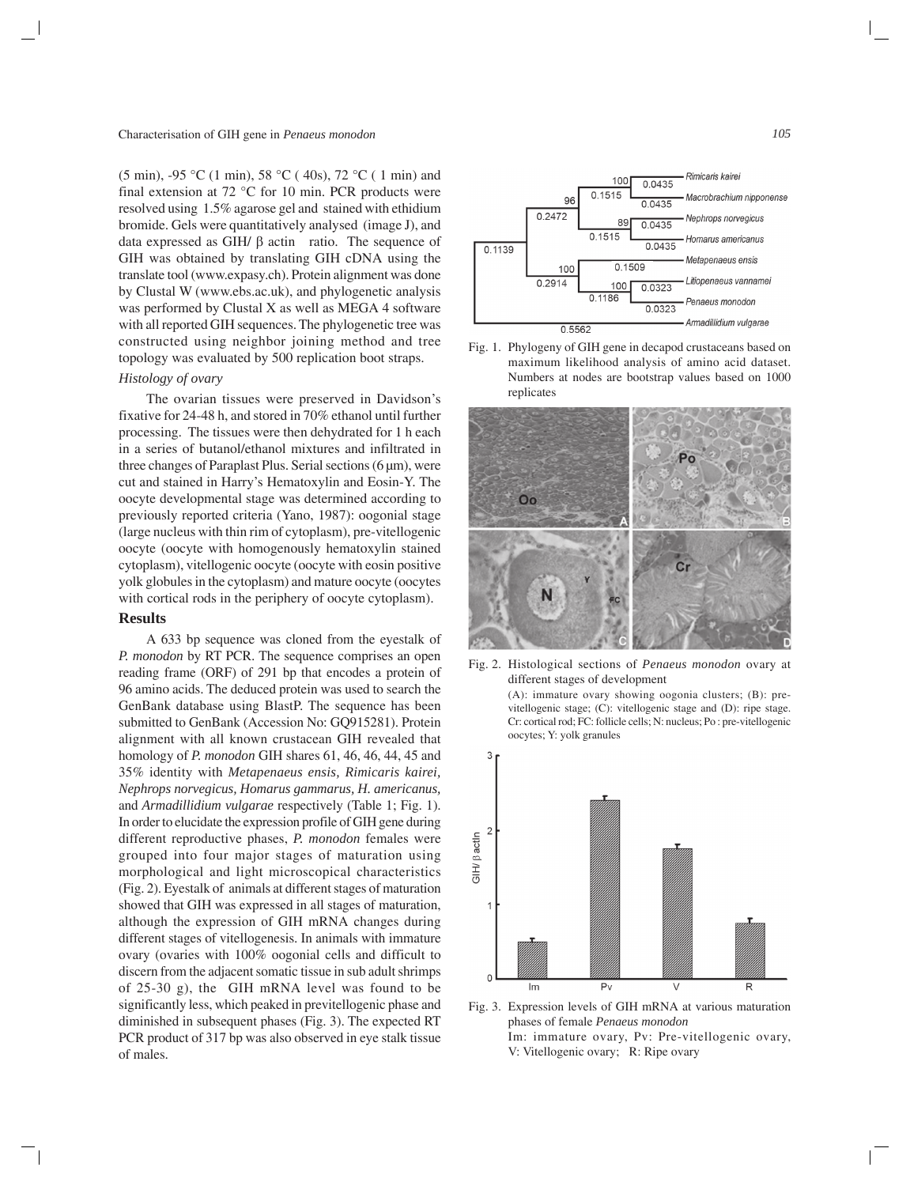(5 min), -95 °C (1 min), 58 °C ( 40s), 72 °C ( 1 min) and final extension at 72 °C for 10 min. PCR products were resolved using 1.5% agarose gel and stained with ethidium bromide. Gels were quantitatively analysed (image J), and data expressed as GIH/ β actin ratio. The sequence of GIH was obtained by translating GIH cDNA using the translate tool (www.expasy.ch). Protein alignment was done by Clustal W (www.ebs.ac.uk), and phylogenetic analysis was performed by Clustal X as well as MEGA 4 software with all reported GIH sequences. The phylogenetic tree was constructed using neighbor joining method and tree topology was evaluated by 500 replication boot straps.

### *Histology of ovary*

The ovarian tissues were preserved in Davidson's fixative for 24-48 h, and stored in 70% ethanol until further processing. The tissues were then dehydrated for 1 h each in a series of butanol/ethanol mixtures and infiltrated in three changes of Paraplast Plus. Serial sections  $(6 \mu m)$ , were cut and stained in Harry's Hematoxylin and Eosin-Y. The oocyte developmental stage was determined according to previously reported criteria (Yano, 1987): oogonial stage (large nucleus with thin rim of cytoplasm), pre-vitellogenic oocyte (oocyte with homogenously hematoxylin stained cytoplasm), vitellogenic oocyte (oocyte with eosin positive yolk globules in the cytoplasm) and mature oocyte (oocytes with cortical rods in the periphery of oocyte cytoplasm).

#### **Results**

A 633 bp sequence was cloned from the eyestalk of *P. monodon* by RT PCR. The sequence comprises an open reading frame (ORF) of 291 bp that encodes a protein of 96 amino acids. The deduced protein was used to search the GenBank database using BlastP. The sequence has been submitted to GenBank (Accession No: GQ915281). Protein alignment with all known crustacean GIH revealed that homology of *P. monodon* GIH shares 61, 46, 46, 44, 45 and 35% identity with *Metapenaeus ensis, Rimicaris kairei, Nephrops norvegicus, Homarus gammarus, H. americanus,* and *Armadillidium vulgarae* respectively (Table 1; Fig. 1). In order to elucidate the expression profile of GIH gene during different reproductive phases, *P. monodon* females were grouped into four major stages of maturation using morphological and light microscopical characteristics (Fig. 2). Eyestalk of animals at different stages of maturation showed that GIH was expressed in all stages of maturation, although the expression of GIH mRNA changes during different stages of vitellogenesis. In animals with immature ovary (ovaries with 100% oogonial cells and difficult to discern from the adjacent somatic tissue in sub adult shrimps of 25-30 g), the GIH mRNA level was found to be significantly less, which peaked in previtellogenic phase and diminished in subsequent phases (Fig. 3). The expected RT PCR product of 317 bp was also observed in eye stalk tissue of males.



Fig. 1. Phylogeny of GIH gene in decapod crustaceans based on maximum likelihood analysis of amino acid dataset. Numbers at nodes are bootstrap values based on 1000 replicates



Fig. 2. Histological sections of *Penaeus monodon* ovary at different stages of development

> (A): immature ovary showing oogonia clusters; (B): previtellogenic stage; (C): vitellogenic stage and (D): ripe stage. Cr: cortical rod; FC: follicle cells; N: nucleus; Po : pre-vitellogenic oocytes; Y: yolk granules



Fig. 3. Expression levels of GIH mRNA at various maturation phases of female *Penaeus monodon* Im: immature ovary, Pv: Pre-vitellogenic ovary, V: Vitellogenic ovary; R: Ripe ovary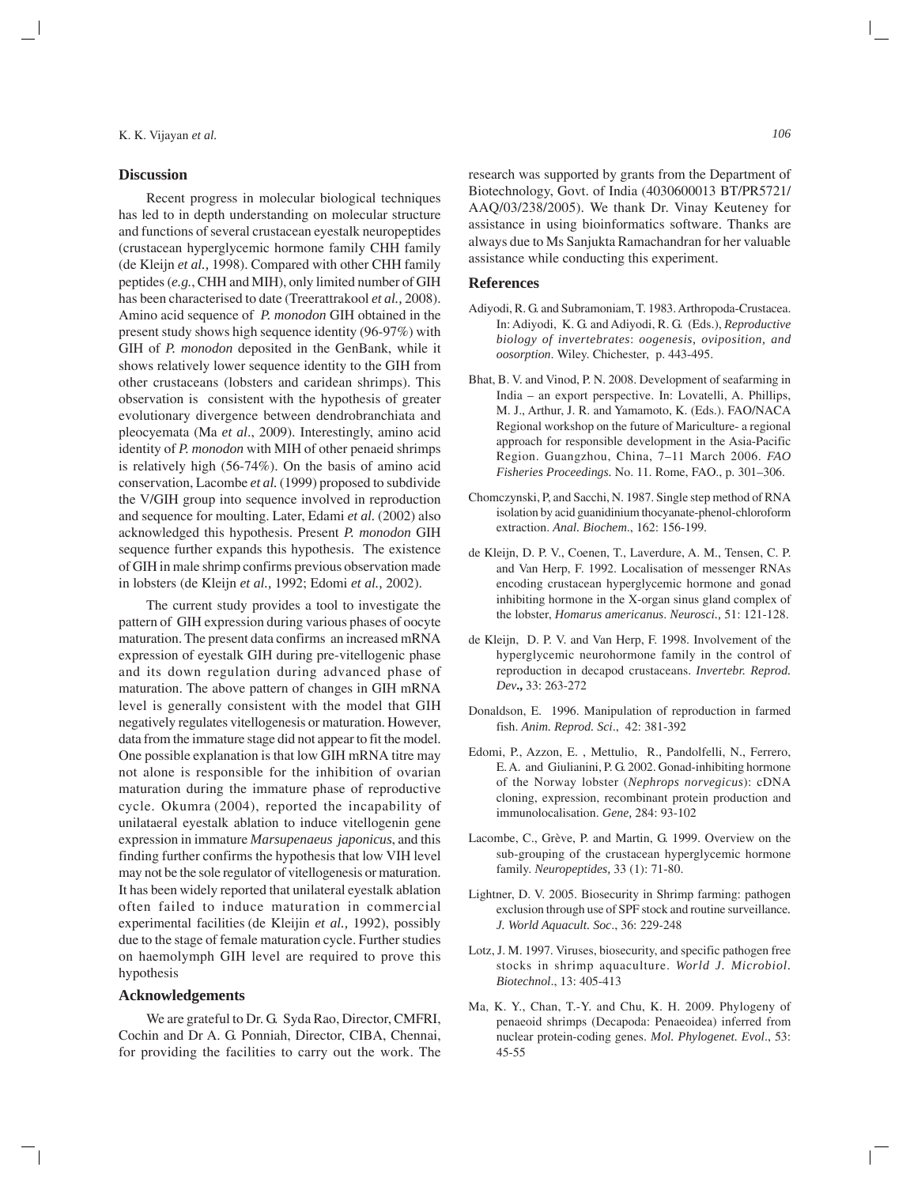#### **Discussion**

Recent progress in molecular biological techniques has led to in depth understanding on molecular structure and functions of several crustacean eyestalk neuropeptides (crustacean hyperglycemic hormone family CHH family (de Kleijn *et al.,* 1998). Compared with other CHH family peptides (*e.g.*, CHH and MIH), only limited number of GIH has been characterised to date (Treerattrakool *et al.,* 2008). Amino acid sequence of *P. monodon* GIH obtained in the present study shows high sequence identity (96-97%) with GIH of *P. monodon* deposited in the GenBank, while it shows relatively lower sequence identity to the GIH from other crustaceans (lobsters and caridean shrimps). This observation is consistent with the hypothesis of greater evolutionary divergence between dendrobranchiata and pleocyemata (Ma *et al*., 2009). Interestingly, amino acid identity of *P. monodon* with MIH of other penaeid shrimps is relatively high (56-74%). On the basis of amino acid conservation, Lacombe *et al.* (1999) proposed to subdivide the V/GIH group into sequence involved in reproduction and sequence for moulting. Later, Edami *et al.* (2002) also acknowledged this hypothesis. Present *P. monodon* GIH sequence further expands this hypothesis. The existence of GIH in male shrimp confirms previous observation made in lobsters (de Kleijn *et al.,* 1992; Edomi *et al.,* 2002).

The current study provides a tool to investigate the pattern of GIH expression during various phases of oocyte maturation. The present data confirms an increased mRNA expression of eyestalk GIH during pre-vitellogenic phase and its down regulation during advanced phase of maturation. The above pattern of changes in GIH mRNA level is generally consistent with the model that GIH negatively regulates vitellogenesis or maturation. However, data from the immature stage did not appear to fit the model. One possible explanation is that low GIH mRNA titre may not alone is responsible for the inhibition of ovarian maturation during the immature phase of reproductive cycle. Okumra (2004), reported the incapability of unilataeral eyestalk ablation to induce vitellogenin gene expression in immature *Marsupenaeus japonicus*, and this finding further confirms the hypothesis that low VIH level may not be the sole regulator of vitellogenesis or maturation. It has been widely reported that unilateral eyestalk ablation often failed to induce maturation in commercial experimental facilities (de Kleijin *et al.,* 1992), possibly due to the stage of female maturation cycle. Further studies on haemolymph GIH level are required to prove this hypothesis

#### **Acknowledgements**

We are grateful to Dr. G. Syda Rao, Director, CMFRI, Cochin and Dr A. G. Ponniah, Director, CIBA, Chennai, for providing the facilities to carry out the work. The research was supported by grants from the Department of Biotechnology, Govt. of India (4030600013 BT/PR5721/ AAQ/03/238/2005). We thank Dr. Vinay Keuteney for assistance in using bioinformatics software. Thanks are always due to Ms Sanjukta Ramachandran for her valuable assistance while conducting this experiment.

## **References**

- Adiyodi, R. G. and Subramoniam, T. 1983. Arthropoda-Crustacea. In: Adiyodi, K. G. and Adiyodi, R. G. (Eds.), *Reproductive biology of invertebrates*: *oogenesis, oviposition, and oosorption*. Wiley. Chichester, p. 443-495.
- Bhat, B. V. and Vinod, P. N. 2008. Development of seafarming in India – an export perspective. In: Lovatelli, A. Phillips, M. J., Arthur, J. R. and Yamamoto, K. (Eds.). FAO/NACA Regional workshop on the future of Mariculture- a regional approach for responsible development in the Asia-Pacific Region. Guangzhou, China, 7–11 March 2006. *FAO Fisheries Proceedings.* No. 11. Rome, FAO., p. 301–306.
- Chomczynski, P, and Sacchi, N. 1987. Single step method of RNA isolation by acid guanidinium thocyanate-phenol-chloroform extraction. *Anal. Biochem*., 162: 156-199.
- de Kleijn, D. P. V., Coenen, T., Laverdure, A. M., Tensen, C. P. and Van Herp, F. 1992. Localisation of messenger RNAs encoding crustacean hyperglycemic hormone and gonad inhibiting hormone in the X-organ sinus gland complex of the lobster, *Homarus americanus*. *Neurosci.,* 51: 121-128.
- de Kleijn, D. P. V. and Van Herp, F. 1998. Involvement of the hyperglycemic neurohormone family in the control of reproduction in decapod crustaceans. *Invertebr. Reprod. Dev***.,** 33: 263-272
- Donaldson, E. 1996. Manipulation of reproduction in farmed fish. *Anim. Reprod. Sci*., 42: 381-392
- Edomi, P., Azzon, E. , Mettulio, R., Pandolfelli, N., Ferrero, E. A. and Giulianini, P. G. 2002. Gonad-inhibiting hormone of the Norway lobster (*Nephrops norvegicus*): cDNA cloning, expression, recombinant protein production and immunolocalisation. *Gene,* 284: 93-102
- Lacombe, C., Grève, P. and Martin, G. 1999. Overview on the sub-grouping of the crustacean hyperglycemic hormone family. *Neuropeptides,* 33 (1): 71-80.
- Lightner, D. V. 2005. Biosecurity in Shrimp farming: pathogen exclusion through use of SPF stock and routine surveillance*. J. World Aquacult. Soc*., 36: 229-248
- Lotz, J. M. 1997. Viruses, biosecurity, and specific pathogen free stocks in shrimp aquaculture. *World J. Microbiol. Biotechnol*., 13: 405-413
- Ma, K. Y., Chan, T.-Y. and Chu, K. H. 2009. Phylogeny of penaeoid shrimps (Decapoda: Penaeoidea) inferred from nuclear protein-coding genes. *Mol. Phylogenet. Evol*., 53: 45-55